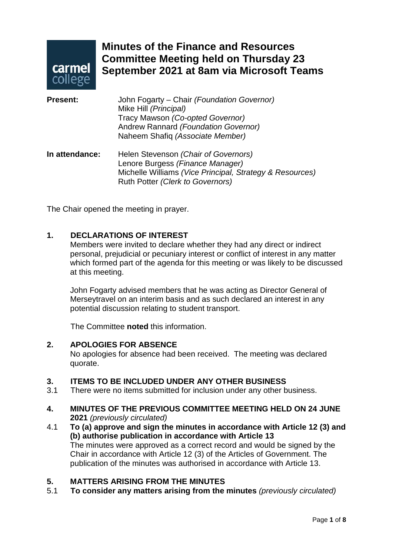

### **Minutes of the Finance and Resources Committee Meeting held on Thursday 23 September 2021 at 8am via Microsoft Teams**

| <b>Present:</b> | John Fogarty – Chair (Foundation Governor)<br>Mike Hill (Principal)<br>Tracy Mawson (Co-opted Governor)<br>Andrew Rannard (Foundation Governor)<br>Naheem Shafiq (Associate Member) |
|-----------------|-------------------------------------------------------------------------------------------------------------------------------------------------------------------------------------|
| In attendance:  | Helen Stevenson (Chair of Governors)<br>Lenore Burgess (Finance Manager)<br>Michelle Williams (Vice Principal, Strategy & Resources)<br>Ruth Potter (Clerk to Governors)            |

The Chair opened the meeting in prayer.

### **1. DECLARATIONS OF INTEREST**

Members were invited to declare whether they had any direct or indirect personal, prejudicial or pecuniary interest or conflict of interest in any matter which formed part of the agenda for this meeting or was likely to be discussed at this meeting.

John Fogarty advised members that he was acting as Director General of Merseytravel on an interim basis and as such declared an interest in any potential discussion relating to student transport.

The Committee **noted** this information.

#### **2. APOLOGIES FOR ABSENCE**

No apologies for absence had been received. The meeting was declared quorate.

## **3. ITEMS TO BE INCLUDED UNDER ANY OTHER BUSINESS**

There were no items submitted for inclusion under any other business.

#### **4. MINUTES OF THE PREVIOUS COMMITTEE MEETING HELD ON 24 JUNE 2021** *(previously circulated)*

4.1 **To (a) approve and sign the minutes in accordance with Article 12 (3) and (b) authorise publication in accordance with Article 13** The minutes were approved as a correct record and would be signed by the Chair in accordance with Article 12 (3) of the Articles of Government. The publication of the minutes was authorised in accordance with Article 13.

### **5. MATTERS ARISING FROM THE MINUTES**

5.1 **To consider any matters arising from the minutes** *(previously circulated)*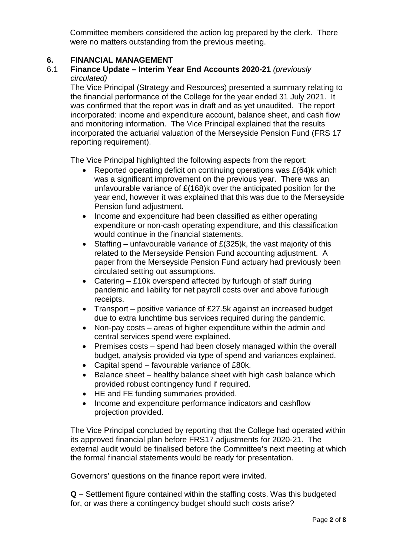Committee members considered the action log prepared by the clerk. There were no matters outstanding from the previous meeting.

# **6. FINANCIAL MANAGEMENT**

### 6.1 **Finance Update – Interim Year End Accounts 2020-21** *(previously circulated)*

The Vice Principal (Strategy and Resources) presented a summary relating to the financial performance of the College for the year ended 31 July 2021. It was confirmed that the report was in draft and as yet unaudited. The report incorporated: income and expenditure account, balance sheet, and cash flow and monitoring information. The Vice Principal explained that the results incorporated the actuarial valuation of the Merseyside Pension Fund (FRS 17 reporting requirement).

The Vice Principal highlighted the following aspects from the report:

- Reported operating deficit on continuing operations was £(64)k which was a significant improvement on the previous year. There was an unfavourable variance of £(168)k over the anticipated position for the year end, however it was explained that this was due to the Merseyside Pension fund adjustment.
- Income and expenditure had been classified as either operating expenditure or non-cash operating expenditure, and this classification would continue in the financial statements.
- Staffing unfavourable variance of £(325)k, the vast majority of this related to the Merseyside Pension Fund accounting adjustment. A paper from the Merseyside Pension Fund actuary had previously been circulated setting out assumptions.
- Catering £10k overspend affected by furlough of staff during pandemic and liability for net payroll costs over and above furlough receipts.
- Transport positive variance of £27.5k against an increased budget due to extra lunchtime bus services required during the pandemic.
- Non-pay costs areas of higher expenditure within the admin and central services spend were explained.
- Premises costs spend had been closely managed within the overall budget, analysis provided via type of spend and variances explained.
- Capital spend favourable variance of £80k.
- Balance sheet healthy balance sheet with high cash balance which provided robust contingency fund if required.
- HE and FE funding summaries provided.
- Income and expenditure performance indicators and cashflow projection provided.

The Vice Principal concluded by reporting that the College had operated within its approved financial plan before FRS17 adjustments for 2020-21. The external audit would be finalised before the Committee's next meeting at which the formal financial statements would be ready for presentation.

Governors' questions on the finance report were invited.

**Q** – Settlement figure contained within the staffing costs. Was this budgeted for, or was there a contingency budget should such costs arise?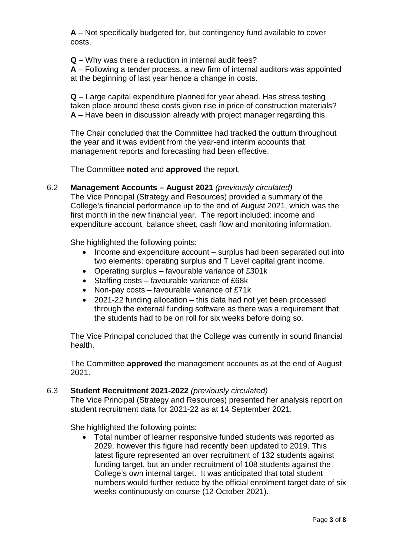**A** – Not specifically budgeted for, but contingency fund available to cover costs.

**Q** – Why was there a reduction in internal audit fees?

**A** – Following a tender process, a new firm of internal auditors was appointed at the beginning of last year hence a change in costs.

**Q** – Large capital expenditure planned for year ahead. Has stress testing taken place around these costs given rise in price of construction materials? **A** – Have been in discussion already with project manager regarding this.

The Chair concluded that the Committee had tracked the outturn throughout the year and it was evident from the year-end interim accounts that management reports and forecasting had been effective.

The Committee **noted** and **approved** the report.

6.2 **Management Accounts – August 2021** *(previously circulated)*

The Vice Principal (Strategy and Resources) provided a summary of the College's financial performance up to the end of August 2021, which was the first month in the new financial year. The report included: income and expenditure account, balance sheet, cash flow and monitoring information.

She highlighted the following points:

- Income and expenditure account surplus had been separated out into two elements: operating surplus and T Level capital grant income.
- Operating surplus favourable variance of £301k
- Staffing costs favourable variance of £68k
- Non-pay costs favourable variance of £71k
- 2021-22 funding allocation this data had not yet been processed through the external funding software as there was a requirement that the students had to be on roll for six weeks before doing so.

The Vice Principal concluded that the College was currently in sound financial health.

The Committee **approved** the management accounts as at the end of August 2021.

#### 6.3 **Student Recruitment 2021-2022** *(previously circulated)*

The Vice Principal (Strategy and Resources) presented her analysis report on student recruitment data for 2021-22 as at 14 September 2021.

She highlighted the following points:

• Total number of learner responsive funded students was reported as 2029, however this figure had recently been updated to 2019. This latest figure represented an over recruitment of 132 students against funding target, but an under recruitment of 108 students against the College's own internal target. It was anticipated that total student numbers would further reduce by the official enrolment target date of six weeks continuously on course (12 October 2021).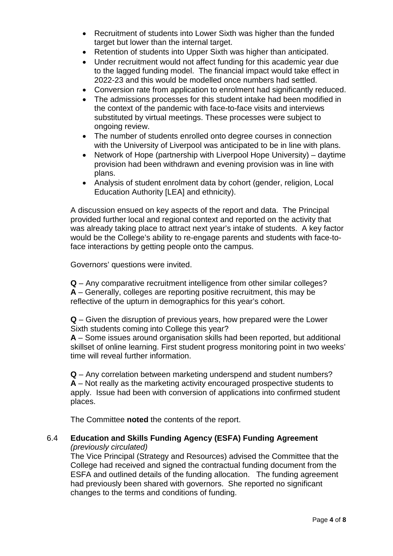- Recruitment of students into Lower Sixth was higher than the funded target but lower than the internal target.
- Retention of students into Upper Sixth was higher than anticipated.
- Under recruitment would not affect funding for this academic year due to the lagged funding model. The financial impact would take effect in 2022-23 and this would be modelled once numbers had settled.
- Conversion rate from application to enrolment had significantly reduced.
- The admissions processes for this student intake had been modified in the context of the pandemic with face-to-face visits and interviews substituted by virtual meetings. These processes were subject to ongoing review.
- The number of students enrolled onto degree courses in connection with the University of Liverpool was anticipated to be in line with plans.
- Network of Hope (partnership with Liverpool Hope University) daytime provision had been withdrawn and evening provision was in line with plans.
- Analysis of student enrolment data by cohort (gender, religion, Local Education Authority [LEA] and ethnicity).

A discussion ensued on key aspects of the report and data. The Principal provided further local and regional context and reported on the activity that was already taking place to attract next year's intake of students. A key factor would be the College's ability to re-engage parents and students with face-toface interactions by getting people onto the campus.

Governors' questions were invited.

**Q** – Any comparative recruitment intelligence from other similar colleges? **A** – Generally, colleges are reporting positive recruitment, this may be reflective of the upturn in demographics for this year's cohort.

**Q** – Given the disruption of previous years, how prepared were the Lower Sixth students coming into College this year?

**A** – Some issues around organisation skills had been reported, but additional skillset of online learning. First student progress monitoring point in two weeks' time will reveal further information.

**Q** – Any correlation between marketing underspend and student numbers? **A** – Not really as the marketing activity encouraged prospective students to apply. Issue had been with conversion of applications into confirmed student places.

The Committee **noted** the contents of the report.

#### 6.4 **Education and Skills Funding Agency (ESFA) Funding Agreement** *(previously circulated)*

The Vice Principal (Strategy and Resources) advised the Committee that the College had received and signed the contractual funding document from the ESFA and outlined details of the funding allocation. The funding agreement had previously been shared with governors. She reported no significant changes to the terms and conditions of funding.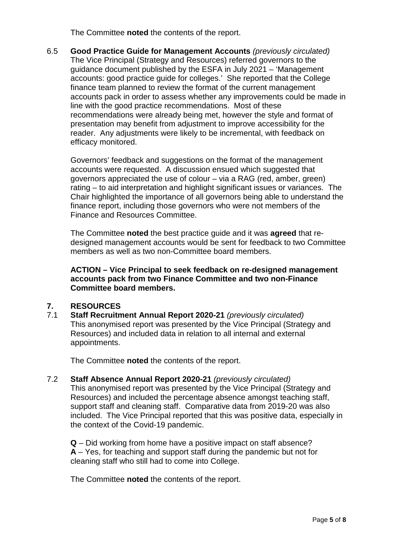The Committee **noted** the contents of the report.

6.5 **Good Practice Guide for Management Accounts** *(previously circulated)* The Vice Principal (Strategy and Resources) referred governors to the guidance document published by the ESFA in July 2021 – 'Management accounts: good practice guide for colleges.' She reported that the College finance team planned to review the format of the current management accounts pack in order to assess whether any improvements could be made in line with the good practice recommendations. Most of these recommendations were already being met, however the style and format of presentation may benefit from adjustment to improve accessibility for the reader. Any adjustments were likely to be incremental, with feedback on efficacy monitored.

Governors' feedback and suggestions on the format of the management accounts were requested. A discussion ensued which suggested that governors appreciated the use of colour – via a RAG (red, amber, green) rating – to aid interpretation and highlight significant issues or variances. The Chair highlighted the importance of all governors being able to understand the finance report, including those governors who were not members of the Finance and Resources Committee.

The Committee **noted** the best practice guide and it was **agreed** that redesigned management accounts would be sent for feedback to two Committee members as well as two non-Committee board members.

**ACTION – Vice Principal to seek feedback on re-designed management accounts pack from two Finance Committee and two non-Finance Committee board members.**

# **7. RESOURCES**

7.1 **Staff Recruitment Annual Report 2020-21** *(previously circulated)* This anonymised report was presented by the Vice Principal (Strategy and Resources) and included data in relation to all internal and external appointments.

The Committee **noted** the contents of the report.

7.2 **Staff Absence Annual Report 2020-21** *(previously circulated)* This anonymised report was presented by the Vice Principal (Strategy and Resources) and included the percentage absence amongst teaching staff, support staff and cleaning staff. Comparative data from 2019-20 was also included. The Vice Principal reported that this was positive data, especially in the context of the Covid-19 pandemic.

**Q** – Did working from home have a positive impact on staff absence? **A** – Yes, for teaching and support staff during the pandemic but not for cleaning staff who still had to come into College.

The Committee **noted** the contents of the report.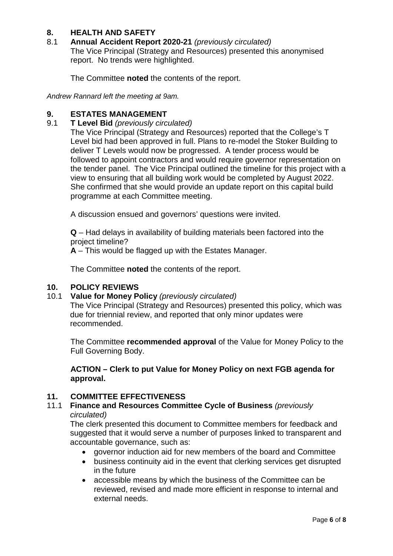# **8. HEALTH AND SAFETY**

### 8.1 **Annual Accident Report 2020-21** *(previously circulated)*

The Vice Principal (Strategy and Resources) presented this anonymised report. No trends were highlighted.

The Committee **noted** the contents of the report.

*Andrew Rannard left the meeting at 9am.*

# **9. ESTATES MANAGEMENT**<br>9.1 **T Level Bid** (previously circ

9.1 **T Level Bid** *(previously circulated)*

The Vice Principal (Strategy and Resources) reported that the College's T Level bid had been approved in full. Plans to re-model the Stoker Building to deliver T Levels would now be progressed. A tender process would be followed to appoint contractors and would require governor representation on the tender panel. The Vice Principal outlined the timeline for this project with a view to ensuring that all building work would be completed by August 2022. She confirmed that she would provide an update report on this capital build programme at each Committee meeting.

A discussion ensued and governors' questions were invited.

**Q** – Had delays in availability of building materials been factored into the project timeline?

**A** – This would be flagged up with the Estates Manager.

The Committee **noted** the contents of the report.

### **10. POLICY REVIEWS**

10.1 **Value for Money Policy** *(previously circulated)*

The Vice Principal (Strategy and Resources) presented this policy, which was due for triennial review, and reported that only minor updates were recommended.

The Committee **recommended approval** of the Value for Money Policy to the Full Governing Body.

**ACTION – Clerk to put Value for Money Policy on next FGB agenda for approval.**

### **11. COMMITTEE EFFECTIVENESS**

11.1 **Finance and Resources Committee Cycle of Business** *(previously circulated)*

The clerk presented this document to Committee members for feedback and suggested that it would serve a number of purposes linked to transparent and accountable governance, such as:

- governor induction aid for new members of the board and Committee
- business continuity aid in the event that clerking services get disrupted in the future
- accessible means by which the business of the Committee can be reviewed, revised and made more efficient in response to internal and external needs.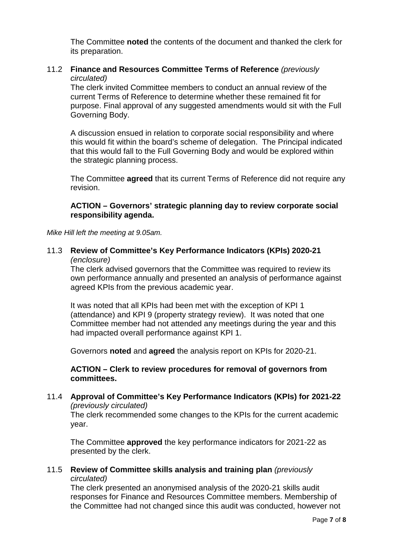The Committee **noted** the contents of the document and thanked the clerk for its preparation.

### 11.2 **Finance and Resources Committee Terms of Reference** *(previously circulated)*

The clerk invited Committee members to conduct an annual review of the current Terms of Reference to determine whether these remained fit for purpose. Final approval of any suggested amendments would sit with the Full Governing Body.

A discussion ensued in relation to corporate social responsibility and where this would fit within the board's scheme of delegation. The Principal indicated that this would fall to the Full Governing Body and would be explored within the strategic planning process.

The Committee **agreed** that its current Terms of Reference did not require any revision.

### **ACTION – Governors' strategic planning day to review corporate social responsibility agenda.**

*Mike Hill left the meeting at 9.05am.*

#### 11.3 **Review of Committee's Key Performance Indicators (KPIs) 2020-21**  *(enclosure)*

The clerk advised governors that the Committee was required to review its own performance annually and presented an analysis of performance against agreed KPIs from the previous academic year.

It was noted that all KPIs had been met with the exception of KPI 1 (attendance) and KPI 9 (property strategy review). It was noted that one Committee member had not attended any meetings during the year and this had impacted overall performance against KPI 1.

Governors **noted** and **agreed** the analysis report on KPIs for 2020-21.

**ACTION – Clerk to review procedures for removal of governors from committees.**

#### 11.4 **Approval of Committee's Key Performance Indicators (KPIs) for 2021-22** *(previously circulated)*

The clerk recommended some changes to the KPIs for the current academic year.

The Committee **approved** the key performance indicators for 2021-22 as presented by the clerk.

### 11.5 **Review of Committee skills analysis and training plan** *(previously circulated)*

The clerk presented an anonymised analysis of the 2020-21 skills audit responses for Finance and Resources Committee members. Membership of the Committee had not changed since this audit was conducted, however not